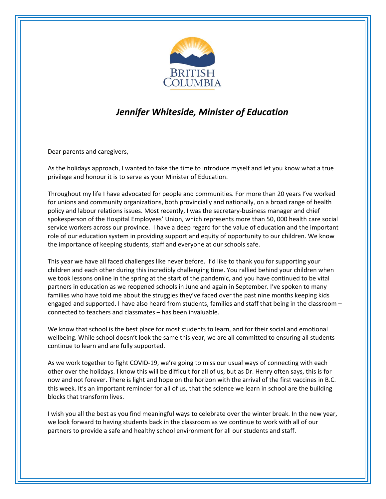

## *Jennifer Whiteside, Minister of Education*

Dear parents and caregivers,

As the holidays approach, I wanted to take the time to introduce myself and let you know what a true privilege and honour it is to serve as your Minister of Education.

Throughout my life I have advocated for people and communities. For more than 20 years I've worked for unions and community organizations, both provincially and nationally, on a broad range of health policy and labour relations issues. Most recently, I was the secretary-business manager and chief spokesperson of the Hospital Employees' Union, which represents more than 50, 000 health care social service workers across our province. I have a deep regard for the value of education and the important role of our education system in providing support and equity of opportunity to our children. We know the importance of keeping students, staff and everyone at our schools safe.

This year we have all faced challenges like never before. I'd like to thank you for supporting your children and each other during this incredibly challenging time. You rallied behind your children when we took lessons online in the spring at the start of the pandemic, and you have continued to be vital partners in education as we reopened schools in June and again in September. I've spoken to many families who have told me about the struggles they've faced over the past nine months keeping kids engaged and supported. I have also heard from students, families and staff that being in the classroom – connected to teachers and classmates – has been invaluable.

We know that school is the best place for most students to learn, and for their social and emotional wellbeing. While school doesn't look the same this year, we are all committed to ensuring all students continue to learn and are fully supported.

As we work together to fight COVID-19, we're going to miss our usual ways of connecting with each other over the holidays. I know this will be difficult for all of us, but as Dr. Henry often says, this is for now and not forever. There is light and hope on the horizon with the arrival of the first vaccines in B.C. this week. It's an important reminder for all of us, that the science we learn in school are the building blocks that transform lives.

I wish you all the best as you find meaningful ways to celebrate over the winter break. In the new year, we look forward to having students back in the classroom as we continue to work with all of our partners to provide a safe and healthy school environment for all our students and staff.